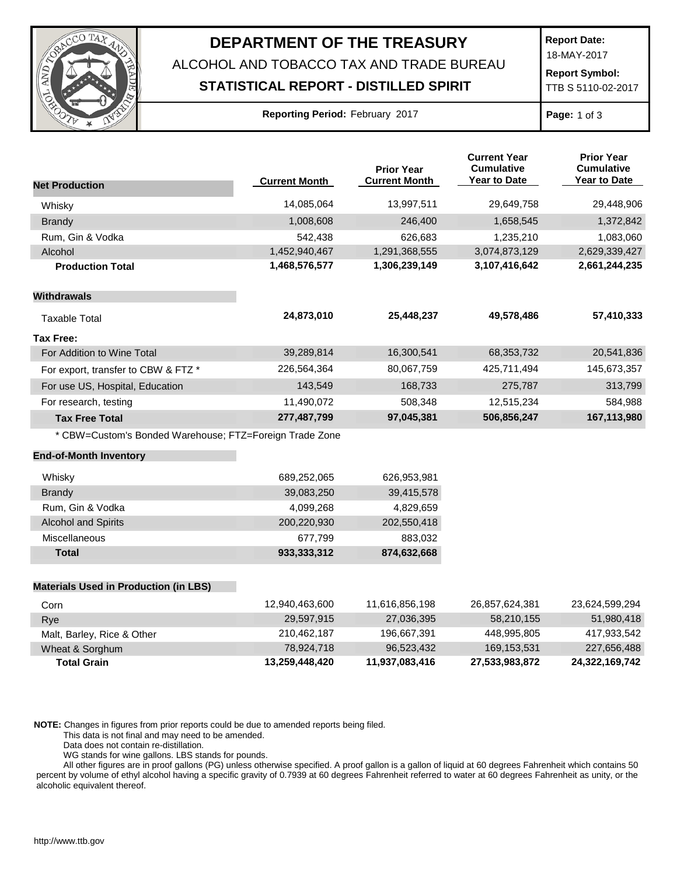

## **DEPARTMENT OF THE TREASURY**

ALCOHOL AND TOBACCO TAX AND TRADE BUREAU

## **STATISTICAL REPORT - DISTILLED SPIRIT**

**Report Date:** 18-MAY-2017

**Report Symbol:** TTB S 5110-02-2017

## **Reporting Period:** February 2017 **Page:** 1 of 3

| <b>Net Production</b>                                   | <b>Current Month</b> | <b>Prior Year</b><br><b>Current Month</b> | <b>Current Year</b><br><b>Cumulative</b><br><b>Year to Date</b> | <b>Prior Year</b><br><b>Cumulative</b><br><b>Year to Date</b> |
|---------------------------------------------------------|----------------------|-------------------------------------------|-----------------------------------------------------------------|---------------------------------------------------------------|
| Whisky                                                  | 14,085,064           | 13,997,511                                | 29,649,758                                                      | 29,448,906                                                    |
| <b>Brandy</b>                                           | 1,008,608            | 246,400                                   | 1,658,545                                                       | 1,372,842                                                     |
| Rum, Gin & Vodka                                        | 542,438              | 626,683                                   | 1,235,210                                                       | 1,083,060                                                     |
| Alcohol                                                 | 1,452,940,467        | 1,291,368,555                             | 3,074,873,129                                                   | 2,629,339,427                                                 |
| <b>Production Total</b>                                 | 1,468,576,577        | 1,306,239,149                             | 3,107,416,642                                                   | 2,661,244,235                                                 |
| <b>Withdrawals</b>                                      |                      |                                           |                                                                 |                                                               |
| <b>Taxable Total</b>                                    | 24,873,010           | 25,448,237                                | 49,578,486                                                      | 57,410,333                                                    |
| <b>Tax Free:</b>                                        |                      |                                           |                                                                 |                                                               |
| For Addition to Wine Total                              | 39,289,814           | 16,300,541                                | 68,353,732                                                      | 20,541,836                                                    |
| For export, transfer to CBW & FTZ *                     | 226,564,364          | 80,067,759                                | 425,711,494                                                     | 145,673,357                                                   |
| For use US, Hospital, Education                         | 143,549              | 168,733                                   | 275,787                                                         | 313,799                                                       |
| For research, testing                                   | 11,490,072           | 508,348                                   | 12,515,234                                                      | 584,988                                                       |
| <b>Tax Free Total</b>                                   | 277,487,799          | 97,045,381                                | 506,856,247                                                     | 167,113,980                                                   |
| * CBW=Custom's Bonded Warehouse; FTZ=Foreign Trade Zone |                      |                                           |                                                                 |                                                               |
| <b>End-of-Month Inventory</b>                           |                      |                                           |                                                                 |                                                               |
| Whisky                                                  | 689,252,065          | 626,953,981                               |                                                                 |                                                               |
| <b>Brandy</b>                                           | 39,083,250           | 39,415,578                                |                                                                 |                                                               |
| Rum, Gin & Vodka                                        | 4,099,268            | 4,829,659                                 |                                                                 |                                                               |
| <b>Alcohol and Spirits</b>                              | 200,220,930          | 202,550,418                               |                                                                 |                                                               |
| Miscellaneous                                           | 677,799              | 883,032                                   |                                                                 |                                                               |
| <b>Total</b>                                            | 933,333,312          | 874,632,668                               |                                                                 |                                                               |
| <b>Materials Used in Production (in LBS)</b>            |                      |                                           |                                                                 |                                                               |
| Corn                                                    | 12,940,463,600       | 11,616,856,198                            | 26,857,624,381                                                  | 23,624,599,294                                                |

| <b>Total Grain</b>         | 13,259,448,420 | 11,937,083,416 | 27,533,983,872          | 24,322,169,742 |
|----------------------------|----------------|----------------|-------------------------|----------------|
| Wheat & Sorghum            | 78.924.718     | 96.523.432     | 169.153.531             | 227,656,488    |
| Malt, Barley, Rice & Other | 210,462,187    | 196,667,391    | 448,995,805             | 417.933.542    |
| Rye                        | 29.597.915     | 27,036,395     | 58.210.155              | 51,980,418     |
| ◡◡▯▯                       | ៲∠,טטר,טרע,טער | י ייטיסיטיירי  | <b>LU, PAU, IGU, UL</b> | ∠∪.∪∠∺.∪ອອ.∠ອ≒ |

**NOTE:** Changes in figures from prior reports could be due to amended reports being filed.

This data is not final and may need to be amended.

Data does not contain re-distillation.

WG stands for wine gallons. LBS stands for pounds.

All other figures are in proof gallons (PG) unless otherwise specified. A proof gallon is a gallon of liquid at 60 degrees Fahrenheit which contains 50 percent by volume of ethyl alcohol having a specific gravity of 0.7939 at 60 degrees Fahrenheit referred to water at 60 degrees Fahrenheit as unity, or the alcoholic equivalent thereof.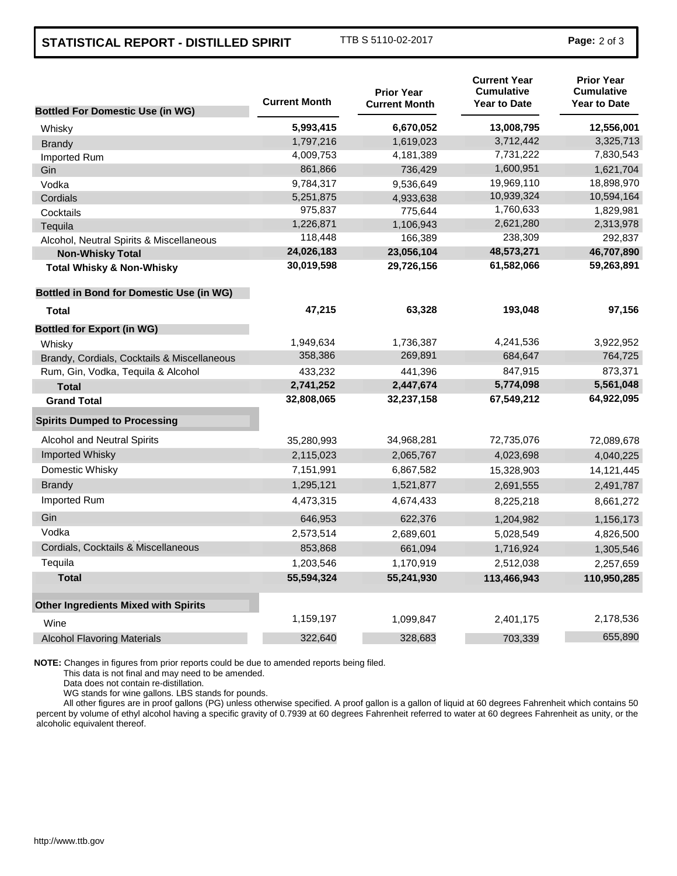## **STATISTICAL REPORT - DISTILLED SPIRIT** TTB S 5110-02-2017 **Page:** <sup>2</sup> of 3

|                                                 | <b>Current Month</b> | <b>Prior Year</b><br><b>Current Month</b> | <b>Current Year</b><br><b>Cumulative</b><br><b>Year to Date</b> | <b>Prior Year</b><br><b>Cumulative</b><br><b>Year to Date</b> |
|-------------------------------------------------|----------------------|-------------------------------------------|-----------------------------------------------------------------|---------------------------------------------------------------|
| <b>Bottled For Domestic Use (in WG)</b>         |                      |                                           |                                                                 |                                                               |
| Whisky                                          | 5,993,415            | 6,670,052                                 | 13,008,795                                                      | 12,556,001                                                    |
| <b>Brandy</b>                                   | 1,797,216            | 1,619,023                                 | 3,712,442                                                       | 3,325,713                                                     |
| Imported Rum                                    | 4,009,753            | 4,181,389                                 | 7,731,222                                                       | 7,830,543                                                     |
| Gin                                             | 861,866              | 736,429                                   | 1,600,951                                                       | 1,621,704                                                     |
| Vodka                                           | 9,784,317            | 9,536,649                                 | 19,969,110                                                      | 18,898,970                                                    |
| Cordials                                        | 5,251,875            | 4,933,638                                 | 10,939,324                                                      | 10,594,164                                                    |
| Cocktails                                       | 975,837              | 775,644                                   | 1,760,633                                                       | 1,829,981                                                     |
| Tequila                                         | 1,226,871            | 1,106,943                                 | 2,621,280                                                       | 2,313,978                                                     |
| Alcohol, Neutral Spirits & Miscellaneous        | 118,448              | 166,389                                   | 238,309                                                         | 292,837                                                       |
| <b>Non-Whisky Total</b>                         | 24,026,183           | 23,056,104                                | 48,573,271                                                      | 46,707,890                                                    |
| <b>Total Whisky &amp; Non-Whisky</b>            | 30,019,598           | 29,726,156                                | 61,582,066                                                      | 59,263,891                                                    |
| <b>Bottled in Bond for Domestic Use (in WG)</b> |                      |                                           |                                                                 |                                                               |
| <b>Total</b>                                    | 47,215               | 63,328                                    | 193,048                                                         | 97,156                                                        |
| <b>Bottled for Export (in WG)</b>               |                      |                                           |                                                                 |                                                               |
| Whisky                                          | 1,949,634            | 1,736,387                                 | 4,241,536                                                       | 3,922,952                                                     |
| Brandy, Cordials, Cocktails & Miscellaneous     | 358,386              | 269,891                                   | 684,647                                                         | 764,725                                                       |
| Rum, Gin, Vodka, Tequila & Alcohol              | 433,232              | 441,396                                   | 847,915                                                         | 873,371                                                       |
| <b>Total</b>                                    | 2,741,252            | 2,447,674                                 | 5,774,098                                                       | 5,561,048                                                     |
| <b>Grand Total</b>                              | 32,808,065           | 32,237,158                                | 67,549,212                                                      | 64,922,095                                                    |
| <b>Spirits Dumped to Processing</b>             |                      |                                           |                                                                 |                                                               |
| <b>Alcohol and Neutral Spirits</b>              | 35,280,993           | 34,968,281                                | 72,735,076                                                      | 72,089,678                                                    |
| <b>Imported Whisky</b>                          | 2,115,023            | 2,065,767                                 | 4,023,698                                                       | 4,040,225                                                     |
| Domestic Whisky                                 | 7,151,991            | 6,867,582                                 | 15,328,903                                                      | 14,121,445                                                    |
| <b>Brandy</b>                                   | 1,295,121            | 1,521,877                                 | 2,691,555                                                       | 2,491,787                                                     |
| Imported Rum                                    | 4,473,315            | 4,674,433                                 | 8,225,218                                                       | 8,661,272                                                     |
| Gin                                             | 646,953              | 622,376                                   | 1,204,982                                                       | 1,156,173                                                     |
| Vodka                                           | 2,573,514            | 2,689,601                                 | 5,028,549                                                       | 4,826,500                                                     |
| Cordials, Cocktails & Miscellaneous             | 853,868              | 661,094                                   | 1,716,924                                                       | 1,305,546                                                     |
| Tequila                                         | 1,203,546            | 1,170,919                                 | 2,512,038                                                       | 2,257,659                                                     |
| <b>Total</b>                                    | 55,594,324           | 55,241,930                                | 113,466,943                                                     | 110,950,285                                                   |
| <b>Other Ingredients Mixed with Spirits</b>     |                      |                                           |                                                                 |                                                               |
| Wine                                            | 1,159,197            | 1,099,847                                 | 2,401,175                                                       | 2,178,536                                                     |
| <b>Alcohol Flavoring Materials</b>              | 322,640              | 328,683                                   | 703,339                                                         | 655,890                                                       |

**NOTE:** Changes in figures from prior reports could be due to amended reports being filed.

This data is not final and may need to be amended.

Data does not contain re-distillation.

WG stands for wine gallons. LBS stands for pounds.

All other figures are in proof gallons (PG) unless otherwise specified. A proof gallon is a gallon of liquid at 60 degrees Fahrenheit which contains 50 percent by volume of ethyl alcohol having a specific gravity of 0.7939 at 60 degrees Fahrenheit referred to water at 60 degrees Fahrenheit as unity, or the alcoholic equivalent thereof.